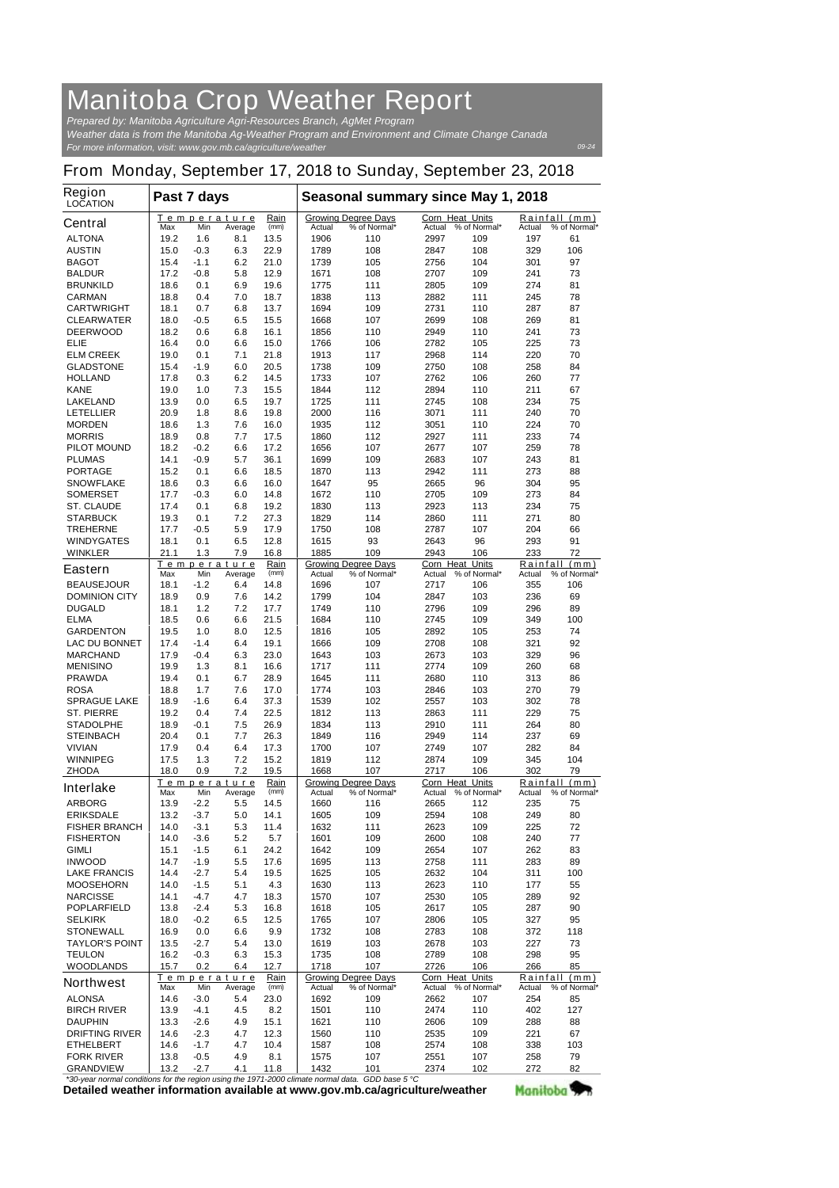## **Manitoba Crop Weather Report**

*For more information, visit: www.gov.mb.ca/agriculture/weather Prepared by: Manitoba Agriculture Agri-Resources Branch, AgMet Program Weather data is from the Manitoba Ag-Weather Program and Environment and Climate Change Canada*

## **From Monday, September 17, 2018 to Sunday, September 23, 2018**

*09-24*

Manitoba<sup>y</sup>

| <b>Region</b><br><b>LOCATION</b>         | Past 7 days                          |                  |                        |                                 | Seasonal summary since May 1, 2018 |                                            |                           |                     |                 |                               |
|------------------------------------------|--------------------------------------|------------------|------------------------|---------------------------------|------------------------------------|--------------------------------------------|---------------------------|---------------------|-----------------|-------------------------------|
| <b>Central</b>                           | т<br>Max                             | Min              | emperature<br>Average  | Rain<br>(mm)                    | Actual                             | <b>Growing Degree Days</b><br>% of Normal* | Corn Heat Units<br>Actual | % of Normal*        | Actual          | Rainfall (mm)<br>% of Normal* |
| <b>ALTONA</b>                            | 19.2                                 | 1.6              | 8.1                    | 13.5                            | 1906                               | 110                                        | 2997                      | 109                 | 197             | 61                            |
| <b>AUSTIN</b>                            | 15.0                                 | $-0.3$           | 6.3                    | 22.9                            | 1789                               | 108                                        | 2847                      | 108                 | 329             | 106                           |
| <b>BAGOT</b>                             | 15.4                                 | $-1.1$           | 6.2                    | 21.0                            | 1739                               | 105                                        | 2756                      | 104                 | 301             | 97                            |
| <b>BALDUR</b>                            | 17.2                                 | $-0.8$           | 5.8                    | 12.9                            | 1671                               | 108                                        | 2707                      | 109                 | 241             | 73                            |
| <b>BRUNKILD</b><br><b>CARMAN</b>         | 18.6<br>18.8                         | 0.1<br>0.4       | 6.9<br>7.0             | 19.6<br>18.7                    | 1775<br>1838                       | 111<br>113                                 | 2805<br>2882              | 109<br>111          | 274<br>245      | 81<br>78                      |
| <b>CARTWRIGHT</b>                        | 18.1                                 | 0.7              | 6.8                    | 13.7                            | 1694                               | 109                                        | 2731                      | 110                 | 287             | 87                            |
| <b>CLEARWATER</b>                        | 18.0                                 | -0.5             | 6.5                    | 15.5                            | 1668                               | 107                                        | 2699                      | 108                 | 269             | 81                            |
| <b>DEERWOOD</b>                          | 18.2                                 | 0.6              | 6.8                    | 16.1                            | 1856                               | 110                                        | 2949                      | 110                 | 241             | 73                            |
| ELIE                                     | 16.4                                 | 0.0              | 6.6                    | 15.0                            | 1766                               | 106                                        | 2782                      | 105                 | 225             | 73                            |
| <b>ELM CREEK</b>                         | 19.0                                 | 0.1              | 7.1                    | 21.8                            | 1913                               | 117                                        | 2968                      | 114                 | 220             | 70                            |
| <b>GLADSTONE</b><br><b>HOLLAND</b>       | 15.4<br>17.8                         | $-1.9$<br>0.3    | 6.0<br>6.2             | 20.5<br>14.5                    | 1738<br>1733                       | 109<br>107                                 | 2750<br>2762              | 108<br>106          | 258<br>260      | 84<br>77                      |
| <b>KANE</b>                              | 19.0                                 | 1.0              | 7.3                    | 15.5                            | 1844                               | 112                                        | 2894                      | 110                 | 211             | 67                            |
| <b>LAKELAND</b>                          | 13.9                                 | 0.0              | 6.5                    | 19.7                            | 1725                               | 111                                        | 2745                      | 108                 | 234             | 75                            |
| <b>LETELLIER</b>                         | 20.9                                 | 1.8              | 8.6                    | 19.8                            | 2000                               | 116                                        | 3071                      | 111                 | 240             | 70                            |
| <b>MORDEN</b>                            | 18.6                                 | 1.3              | 7.6                    | 16.0                            | 1935                               | 112                                        | 3051                      | 110                 | 224             | 70                            |
| <b>MORRIS</b>                            | 18.9                                 | 0.8              | 7.7                    | 17.5                            | 1860                               | 112                                        | 2927                      | 111                 | 233             | 74                            |
| <b>PILOT MOUND</b>                       | 18.2                                 | $-0.2$           | 6.6                    | 17.2                            | 1656                               | 107                                        | 2677                      | 107                 | 259             | 78                            |
| <b>PLUMAS</b><br><b>PORTAGE</b>          | 14.1<br>15.2                         | $-0.9$<br>0.1    | 5.7<br>6.6             | 36.1<br>18.5                    | 1699<br>1870                       | 109<br>113                                 | 2683<br>2942              | 107<br>111          | 243<br>273      | 81<br>88                      |
| <b>SNOWFLAKE</b>                         | 18.6                                 | 0.3              | 6.6                    | 16.0                            | 1647                               | 95                                         | 2665                      | 96                  | 304             | 95                            |
| <b>SOMERSET</b>                          | 17.7                                 | -0.3             | 6.0                    | 14.8                            | 1672                               | 110                                        | 2705                      | 109                 | 273             | 84                            |
| <b>ST. CLAUDE</b>                        | 17.4                                 | 0.1              | 6.8                    | 19.2                            | 1830                               | 113                                        | 2923                      | 113                 | 234             | 75                            |
| <b>STARBUCK</b>                          | 19.3                                 | 0.1              | 7.2                    | 27.3                            | 1829                               | 114                                        | 2860                      | 111                 | 271             | 80                            |
| <b>TREHERNE</b>                          | 17.7                                 | $-0.5$           | 5.9                    | 17.9                            | 1750                               | 108                                        | 2787                      | 107                 | 204             | 66                            |
| <b>WINDYGATES</b>                        | 18.1                                 | 0.1              | 6.5                    | 12.8                            | 1615                               | 93                                         | 2643                      | 96                  | 293             | 91                            |
| <b>WINKLER</b>                           | 21.1                                 | 1.3              | 7.9<br>Temperature     | 16.8<br>Rain                    | 1885                               | 109<br><b>Growing Degree Days</b>          | 2943<br>Corn Heat         | 106<br><b>Units</b> | 233<br>Rainfall | 72<br>(mm)                    |
| <b>Eastern</b>                           | Max                                  | Min              | Average                | (mm)                            | Actual                             | % of Normal*                               | Actual                    | % of Normal*        | Actual          | % of Normal*                  |
| <b>BEAUSEJOUR</b>                        | 18.1                                 | -1.2             | 6.4                    | 14.8                            | 1696                               | 107                                        | 2717                      | 106                 | 355             | 106                           |
| <b>DOMINION CITY</b>                     | 18.9                                 | 0.9              | 7.6                    | 14.2                            | 1799                               | 104                                        | 2847                      | 103                 | 236             | 69                            |
| <b>DUGALD</b><br><b>ELMA</b>             | 18.1<br>18.5                         | 1.2<br>0.6       | 7.2<br>6.6             | 17.7<br>21.5                    | 1749<br>1684                       | 110<br>110                                 | 2796<br>2745              | 109<br>109          | 296<br>349      | 89<br>100                     |
| <b>GARDENTON</b>                         | 19.5                                 | 1.0              | 8.0                    | 12.5                            | 1816                               | 105                                        | 2892                      | 105                 | 253             | 74                            |
| <b>LAC DU BONNET</b>                     | 17.4                                 | $-1.4$           | 6.4                    | 19.1                            | 1666                               | 109                                        | 2708                      | 108                 | 321             | 92                            |
| <b>MARCHAND</b>                          | 17.9                                 | -0.4             | 6.3                    | 23.0                            | 1643                               | 103                                        | 2673                      | 103                 | 329             | 96                            |
| <b>MENISINO</b>                          | 19.9                                 | 1.3              | 8.1                    | 16.6                            | 1717                               | 111                                        | 2774                      | 109                 | 260             | 68                            |
| <b>PRAWDA</b>                            | 19.4                                 | 0.1              | 6.7                    | 28.9                            | 1645                               | 111                                        | 2680                      | 110                 | 313             | 86                            |
| <b>ROSA</b>                              | 18.8                                 | 1.7              | 7.6                    | 17.0                            | 1774                               | 103                                        | 2846                      | 103                 | 270             | 79                            |
| <b>SPRAGUE LAKE</b><br><b>ST. PIERRE</b> | 18.9<br>19.2                         | $-1.6$<br>0.4    | 6.4<br>7.4             | 37.3<br>22.5                    | 1539<br>1812                       | 102<br>113                                 | 2557<br>2863              | 103<br>111          | 302<br>229      | 78<br>75                      |
| <b>STADOLPHE</b>                         | 18.9                                 | -0.1             | 7.5                    | 26.9                            | 1834                               | 113                                        | 2910                      | 111                 | 264             | 80                            |
| <b>STEINBACH</b>                         | 20.4                                 | 0.1              | 7.7                    | 26.3                            | 1849                               | 116                                        | 2949                      | 114                 | 237             | 69                            |
| <b>VIVIAN</b>                            | 17.9                                 | 0.4              | 6.4                    | 17.3                            | 1700                               | 107                                        | 2749                      | 107                 | 282             | 84                            |
| <b>WINNIPEG</b>                          | 17.5                                 | 1.3              | 7.2                    | 15.2                            | 1819                               | 112                                        | 2874                      | 109                 | 345             | 104                           |
| <b>ZHODA</b>                             | 18.0                                 | 0.9              | 7.2                    | 19.5                            | 1668                               | 107                                        | 2717                      | 106                 | 302             | 79                            |
| <b>Interlake</b>                         | Max                                  | Min              | Temperature<br>Average | Rain<br>(mm)                    | <b>Actual</b>                      | <b>Growing Degree Days</b><br>% of Normal* | Corn Heat Units<br>Actual | % of Normal*        | Actual          | Rainfall (mm)<br>% of Normal* |
| <b>ARBORG</b>                            | 13.9                                 | $-2.2$           | 5.5                    | 14.5                            | 1660                               | 116                                        | 2665                      | 112                 | 235             | 75                            |
| <b>ERIKSDALE</b>                         | 13.2                                 | $-3.7$           | 5.0                    | 14.1                            | 1605                               | 109                                        | 2594                      | 108                 | 249             | 80                            |
| <b>FISHER BRANCH</b>                     | 14.0                                 | $-3.1$           | 5.3                    | 11.4                            | 1632                               | 111                                        | 2623                      | 109                 | 225             | 72                            |
| <b>FISHERTON</b>                         | 14.0                                 | $-3.6$           | 5.2                    | 5.7                             | 1601                               | 109                                        | 2600                      | 108                 | 240             | 77                            |
| <b>GIMLI</b>                             | 15.1                                 | $-1.5$           | 6.1                    | 24.2                            | 1642                               | 109                                        | 2654                      | 107                 | 262             | 83                            |
| <b>INWOOD</b><br><b>LAKE FRANCIS</b>     | 14.7<br>14.4                         | $-1.9$<br>$-2.7$ | 5.5<br>5.4             | 17.6<br>19.5                    | 1695<br>1625                       | 113<br>105                                 | 2758<br>2632              | 111<br>104          | 283<br>311      | 89<br>100                     |
| <b>MOOSEHORN</b>                         | 14.0                                 | $-1.5$           | 5.1                    | 4.3                             | 1630                               | 113                                        | 2623                      | 110                 | 177             | 55                            |
| <b>NARCISSE</b>                          | 14.1                                 | $-4.7$           | 4.7                    | 18.3                            | 1570                               | 107                                        | 2530                      | 105                 | 289             | 92                            |
| <b>POPLARFIELD</b>                       | 13.8                                 | $-2.4$           | 5.3                    | 16.8                            | 1618                               | 105                                        | 2617                      | 105                 | 287             | 90                            |
| <b>SELKIRK</b>                           | 18.0                                 | $-0.2$           | 6.5                    | 12.5                            | 1765                               | 107                                        | 2806                      | 105                 | 327             | 95                            |
| <b>STONEWALL</b>                         | 16.9                                 | 0.0              | 6.6                    | 9.9                             | 1732                               | 108                                        | 2783                      | 108                 | 372             | 118                           |
| <b>TAYLOR'S POINT</b><br><b>TEULON</b>   | 13.5<br>16.2                         | $-2.7$<br>-0.3   | 5.4<br>6.3             | 13.0<br>15.3                    | 1619<br>1735                       | 103<br>108                                 | 2678<br>2789              | 103<br>108          | 227<br>298      | 73<br>95                      |
| <b>WOODLANDS</b>                         | 15.7                                 | 0.2              | 6.4                    | 12.7                            | 1718                               | 107                                        | 2726                      | 106                 | 266             | 85                            |
|                                          |                                      |                  | Temperature            | Rain                            |                                    | <b>Growing Degree Days</b>                 | Corn Heat Units           |                     | Rainfall        | (mm)                          |
| <b>Northwest</b>                         | Max                                  | Min              | Average                | (mm)                            | Actual                             | % of Normal*                               | Actual                    | % of Normal*        | Actual          | % of Normal*                  |
| <b>ALONSA</b>                            | 14.6                                 | $-3.0$           | 5.4                    | 23.0                            | 1692                               | 109                                        | 2662                      | 107                 | 254             | 85                            |
| <b>BIRCH RIVER</b><br><b>DAUPHIN</b>     | 13.9<br>13.3                         | -4.1<br>$-2.6$   | 4.5<br>4.9             | 8.2<br>15.1                     | 1501<br>1621                       | 110<br>110                                 | 2474<br>2606              | 110<br>109          | 402<br>288      | 127<br>88                     |
| <b>DRIFTING RIVER</b>                    | 14.6                                 | $-2.3$           | 4.7                    | 12.3                            | 1560                               | 110                                        | 2535                      | 109                 | 221             | 67                            |
| <b>ETHELBERT</b>                         | 14.6                                 | $-1.7$           | 4.7                    | 10.4                            | 1587                               | 108                                        | 2574                      | 108                 | 338             | 103                           |
| <b>FORK RIVER</b>                        | 13.8                                 | $-0.5$           | 4.9                    | 8.1                             | 1575                               | 107                                        | 2551                      | 107                 | 258             | 79                            |
| <b>GRANDVIEW</b>                         | 13.2<br>al conditiona for the region | $-2.7$           | 4.1                    | 11.8<br>the $10712000$ elimeter | 1432                               | 101<br>$CDD$ has $E$ $9C$                  | 2374                      | 102                 | 272             | 82                            |

**Detailed weather information available at www.gov.mb.ca/agriculture/weather** *\*30-year normal conditions for the region using the 1971-2000 climate normal data. GDD base 5 °C*